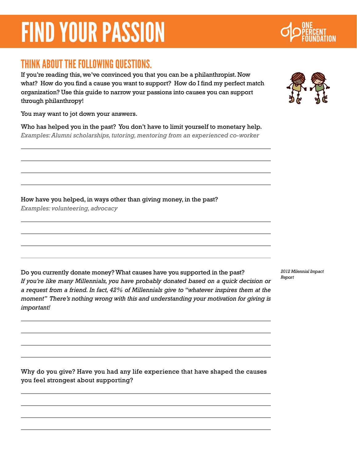## THINK ABOUT THE FOLLOWING QUESTIONS.

If you're reading this, we've convinced you that you can be a philanthropist. Now what? How do you find a cause you want to support? How do I find my perfect match organization? Use this guide to narrow your passions into causes you can support through philanthropy!

You may want to jot down your answers.

Who has helped you in the past? You don't have to limit yourself to monetary help. *Examples: Alumni scholarships, tutoring, mentoring from an experienced co-worker*

How have you helped, in ways other than giving money, in the past?

*Examples: volunteering, advocacy*

Do you currently donate money? What causes have you supported in the past? *If you're like many Millennials, you have probably donated based on a quick decision or a request from a friend. In fact, 42% of Millennials give to "whatever inspires them at the moment" There's nothing wrong with this and understanding your motivation for giving is important!*

*2012 Milennial Impact* 

Why do you give? Have you had any life experience that have shaped the causes you feel strongest about supporting?





*Report*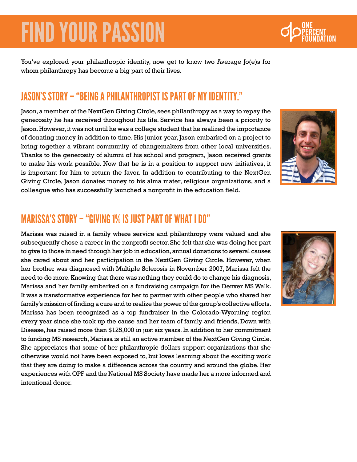You've explored your philanthropic identity, now get to know two Average Jo(e)s for whom philanthropy has become a big part of their lives.

### Jason's Story – "Being a philanthropist is part of my identity."

Jason, a member of the NextGen Giving Circle, sees philanthropy as a way to repay the generosity he has received throughout his life. Service has always been a priority to Jason. However, it was not until he was a college student that he realized the importance of donating money in addition to time. His junior year, Jason embarked on a project to bring together a vibrant community of changemakers from other local universities. Thanks to the generosity of alumni of his school and program, Jason received grants to make his work possible. Now that he is in a position to support new initiatives, it is important for him to return the favor. In addition to contributing to the NextGen Giving Circle, Jason donates money to his alma mater, religious organizations, and a colleague who has successfully launched a nonprofit in the education field.



## Marissa's Story – "giving 1% is just part of what i do"

Marissa was raised in a family where service and philanthropy were valued and she subsequently chose a career in the nonprofit sector. She felt that she was doing her part to give to those in need through her job in education, annual donations to several causes she cared about and her participation in the NextGen Giving Circle. However, when her brother was diagnosed with Multiple Sclerosis in November 2007, Marissa felt the need to do more. Knowing that there was nothing they could do to change his diagnosis, Marissa and her family embarked on a fundraising campaign for the Denver MS Walk. It was a transformative experience for her to partner with other people who shared her family's mission of finding a cure and to realize the power of the group's collective efforts. Marissa has been recognized as a top fundraiser in the Colorado-Wyoming region every year since she took up the cause and her team of family and friends, Down with Disease, has raised more than \$125,000 in just six years. In addition to her commitment to funding MS research, Marissa is still an active member of the NextGen Giving Circle. She appreciates that some of her philanthropic dollars support organizations that she otherwise would not have been exposed to, but loves learning about the exciting work that they are doing to make a difference across the country and around the globe. Her experiences with OPF and the National MS Society have made her a more informed and intentional donor.



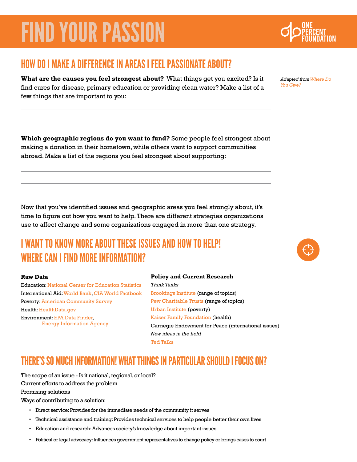### How do I make a difference in areas I feel passionate about?

**What are the causes you feel strongest about?** What things get you excited? Is it find cures for disease, primary education or providing clean water? Make a list of a few things that are important to you:

**Which geographic regions do you want to fund?** Some people feel strongest about making a donation in their hometown, while others want to support communities abroad. Make a list of the regions you feel strongest about supporting:

Now that you've identified issues and geographic areas you feel strongly about, it's time to figure out how you want to help. There are different strategies organizations use to affect change and some organizations engaged in more than one strategy.

## I WANT TO KNOW MORE ABOUT THESE ISSUES AND HOW TO HELP! Where can I find more information?

#### **Raw Data**

Education: [National Center for Education Statistics](http://nces.ed.gov/datatools) International Aid: [World Bank,](http://data.worldbank.org/) [CIA World Factbook](https://www.cia.gov/library/publications/the-world-factbook/) Poverty: [American Community Survey](http://factfinder2.census.gov/faces/nav/jsf/pages/wc_acs.xhtml) Health: [HealthData.gov](http://www.healthdata.gov/) Environment: [EPA Data Finder](http://www.epa.gov/data/), [Energy Information Agency](http://www.eia.gov/)

#### **Policy and Current Research**

*Think Tanks* [Brookings Institute](http://www.brookings.edu/) (range of topics) [Pew Charitable Trusts](http://www.pewtrusts.org/) (range of topics) [Urban Institute](http://www.urban.org/) (poverty) [Kaiser Family Foundation](http://kff.org/) (health) Carnegie Endowment for Peace (international issues) *New ideas in the field* [Ted Talks](http://www.ted.com/talks)

### THERE'S SO MUCH INFORMATION! WHAT THINGS IN PARTICULAR SHOULD I FOCUS ON?

The scope of an issue - Is it national, regional, or local? Current efforts to address the problem

Promising solutions

Ways of contributing to a solution:

- • Direct service: Provides for the immediate needs of the community it serves
- • Technical assistance and training: Provides technical services to help people better their own lives
- • Education and research: Advances society's knowledge about important issues
- • Political or legal advocacy: Influences government representatives to change policy or brings cases to court